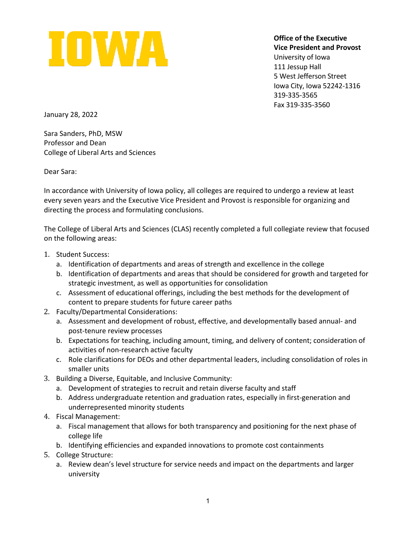

**Office of the Executive Vice President and Provost** University of Iowa 111 Jessup Hall 5 West Jefferson Street Iowa City, Iowa 52242-1316 319-335-3565 Fax 319-335-3560

January 28, 2022

Sara Sanders, PhD, MSW Professor and Dean College of Liberal Arts and Sciences

Dear Sara:

In accordance with University of Iowa policy, all colleges are required to undergo a review at least every seven years and the Executive Vice President and Provost is responsible for organizing and directing the process and formulating conclusions.

The College of Liberal Arts and Sciences (CLAS) recently completed a full collegiate review that focused on the following areas:

- 1. Student Success:
	- a. Identification of departments and areas of strength and excellence in the college
	- b. Identification of departments and areas that should be considered for growth and targeted for strategic investment, as well as opportunities for consolidation
	- c. Assessment of educational offerings, including the best methods for the development of content to prepare students for future career paths
- 2. Faculty/Departmental Considerations:
	- a. Assessment and development of robust, effective, and developmentally based annual- and post-tenure review processes
	- b. Expectations for teaching, including amount, timing, and delivery of content; consideration of activities of non-research active faculty
	- c. Role clarifications for DEOs and other departmental leaders, including consolidation of roles in smaller units
- 3. Building a Diverse, Equitable, and Inclusive Community:
	- a. Development of strategies to recruit and retain diverse faculty and staff
	- b. Address undergraduate retention and graduation rates, especially in first-generation and underrepresented minority students
- 4. Fiscal Management:
	- a. Fiscal management that allows for both transparency and positioning for the next phase of college life
	- b. Identifying efficiencies and expanded innovations to promote cost containments
- 5. College Structure:
	- a. Review dean's level structure for service needs and impact on the departments and larger university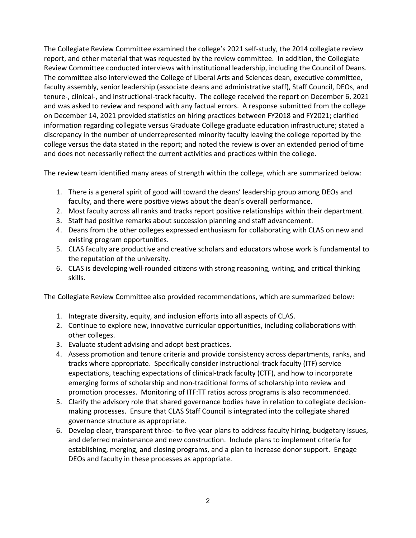The Collegiate Review Committee examined the college's 2021 self-study, the 2014 collegiate review report, and other material that was requested by the review committee. In addition, the Collegiate Review Committee conducted interviews with institutional leadership, including the Council of Deans. The committee also interviewed the College of Liberal Arts and Sciences dean, executive committee, faculty assembly, senior leadership (associate deans and administrative staff), Staff Council, DEOs, and tenure-, clinical-, and instructional-track faculty. The college received the report on December 6, 2021 and was asked to review and respond with any factual errors. A response submitted from the college on December 14, 2021 provided statistics on hiring practices between FY2018 and FY2021; clarified information regarding collegiate versus Graduate College graduate education infrastructure; stated a discrepancy in the number of underrepresented minority faculty leaving the college reported by the college versus the data stated in the report; and noted the review is over an extended period of time and does not necessarily reflect the current activities and practices within the college.

The review team identified many areas of strength within the college, which are summarized below:

- 1. There is a general spirit of good will toward the deans' leadership group among DEOs and faculty, and there were positive views about the dean's overall performance.
- 2. Most faculty across all ranks and tracks report positive relationships within their department.
- 3. Staff had positive remarks about succession planning and staff advancement.
- 4. Deans from the other colleges expressed enthusiasm for collaborating with CLAS on new and existing program opportunities.
- 5. CLAS faculty are productive and creative scholars and educators whose work is fundamental to the reputation of the university.
- 6. CLAS is developing well-rounded citizens with strong reasoning, writing, and critical thinking skills.

The Collegiate Review Committee also provided recommendations, which are summarized below:

- 1. Integrate diversity, equity, and inclusion efforts into all aspects of CLAS.
- 2. Continue to explore new, innovative curricular opportunities, including collaborations with other colleges.
- 3. Evaluate student advising and adopt best practices.
- 4. Assess promotion and tenure criteria and provide consistency across departments, ranks, and tracks where appropriate. Specifically consider instructional-track faculty (ITF) service expectations, teaching expectations of clinical-track faculty (CTF), and how to incorporate emerging forms of scholarship and non-traditional forms of scholarship into review and promotion processes. Monitoring of ITF:TT ratios across programs is also recommended.
- 5. Clarify the advisory role that shared governance bodies have in relation to collegiate decisionmaking processes. Ensure that CLAS Staff Council is integrated into the collegiate shared governance structure as appropriate.
- 6. Develop clear, transparent three- to five-year plans to address faculty hiring, budgetary issues, and deferred maintenance and new construction. Include plans to implement criteria for establishing, merging, and closing programs, and a plan to increase donor support. Engage DEOs and faculty in these processes as appropriate.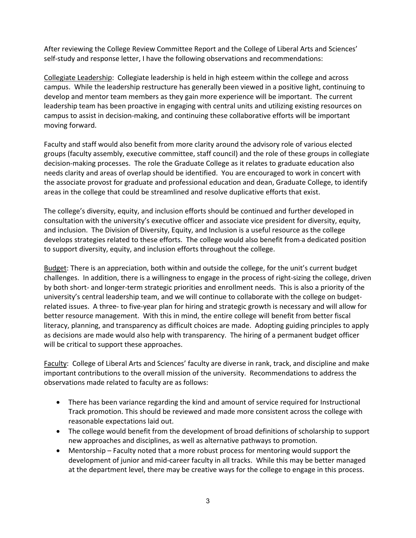After reviewing the College Review Committee Report and the College of Liberal Arts and Sciences' self-study and response letter, I have the following observations and recommendations:

Collegiate Leadership: Collegiate leadership is held in high esteem within the college and across campus. While the leadership restructure has generally been viewed in a positive light, continuing to develop and mentor team members as they gain more experience will be important. The current leadership team has been proactive in engaging with central units and utilizing existing resources on campus to assist in decision-making, and continuing these collaborative efforts will be important moving forward.

Faculty and staff would also benefit from more clarity around the advisory role of various elected groups (faculty assembly, executive committee, staff council) and the role of these groups in collegiate decision-making processes. The role the Graduate College as it relates to graduate education also needs clarity and areas of overlap should be identified. You are encouraged to work in concert with the associate provost for graduate and professional education and dean, Graduate College, to identify areas in the college that could be streamlined and resolve duplicative efforts that exist.

The college's diversity, equity, and inclusion efforts should be continued and further developed in consultation with the university's executive officer and associate vice president for diversity, equity, and inclusion. The Division of Diversity, Equity, and Inclusion is a useful resource as the college develops strategies related to these efforts. The college would also benefit from a dedicated position to support diversity, equity, and inclusion efforts throughout the college.

Budget: There is an appreciation, both within and outside the college, for the unit's current budget challenges. In addition, there is a willingness to engage in the process of right-sizing the college, driven by both short- and longer-term strategic priorities and enrollment needs. This is also a priority of the university's central leadership team, and we will continue to collaborate with the college on budgetrelated issues. A three- to five-year plan for hiring and strategic growth is necessary and will allow for better resource management. With this in mind, the entire college will benefit from better fiscal literacy, planning, and transparency as difficult choices are made. Adopting guiding principles to apply as decisions are made would also help with transparency. The hiring of a permanent budget officer will be critical to support these approaches.

Faculty: College of Liberal Arts and Sciences' faculty are diverse in rank, track, and discipline and make important contributions to the overall mission of the university. Recommendations to address the observations made related to faculty are as follows:

- There has been variance regarding the kind and amount of service required for Instructional Track promotion. This should be reviewed and made more consistent across the college with reasonable expectations laid out.
- The college would benefit from the development of broad definitions of scholarship to support new approaches and disciplines, as well as alternative pathways to promotion.
- Mentorship Faculty noted that a more robust process for mentoring would support the development of junior and mid-career faculty in all tracks. While this may be better managed at the department level, there may be creative ways for the college to engage in this process.